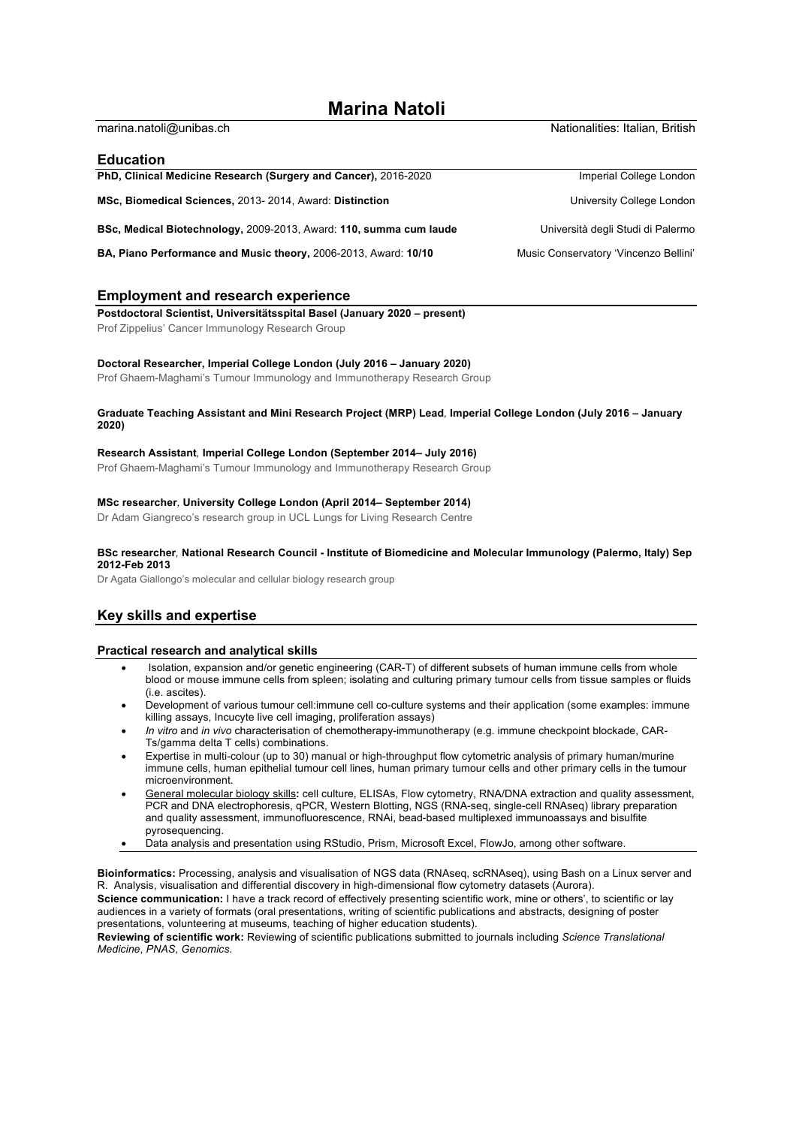# **Marina Natoli**

| marina.natoli@unibas.ch                                                | Nationalities: Italian, British       |
|------------------------------------------------------------------------|---------------------------------------|
| Education                                                              |                                       |
| PhD, Clinical Medicine Research (Surgery and Cancer), 2016-2020        | Imperial College London               |
| MSc, Biomedical Sciences, 2013- 2014, Award: Distinction               | University College London             |
| BSc, Medical Biotechnology, 2009-2013, Award: 110, summa cum laude     | Università degli Studi di Palermo     |
| <b>BA, Piano Performance and Music theory, 2006-2013, Award: 10/10</b> | Music Conservatory 'Vincenzo Bellini' |

# **Employment and research experience**

**Postdoctoral Scientist, Universitätsspital Basel (January 2020 – present)** Prof Zippelius' Cancer Immunology Research Group

#### **Doctoral Researcher, Imperial College London (July 2016 – January 2020)**

Prof Ghaem-Maghami's Tumour Immunology and Immunotherapy Research Group

#### **Graduate Teaching Assistant and Mini Research Project (MRP) Lead***,* **Imperial College London (July 2016 – January 2020)**

#### **Research Assistant***,* **Imperial College London (September 2014– July 2016)**

Prof Ghaem-Maghami's Tumour Immunology and Immunotherapy Research Group

### **MSc researcher***,* **University College London (April 2014– September 2014)**

Dr Adam Giangreco's research group in UCL Lungs for Living Research Centre

### **BSc researcher***,* **National Research Council - Institute of Biomedicine and Molecular Immunology (Palermo, Italy) Sep 2012-Feb 2013**

Dr Agata Giallongo's molecular and cellular biology research group

## **Key skills and expertise**

## **Practical research and analytical skills**

- Isolation, expansion and/or genetic engineering (CAR-T) of different subsets of human immune cells from whole blood or mouse immune cells from spleen; isolating and culturing primary tumour cells from tissue samples or fluids (i.e. ascites).
- Development of various tumour cell:immune cell co-culture systems and their application (some examples: immune killing assays, Incucyte live cell imaging, proliferation assays)
- *In vitro* and *in vivo* characterisation of chemotherapy-immunotherapy (e.g. immune checkpoint blockade, CAR-Ts/gamma delta T cells) combinations.
- Expertise in multi-colour (up to 30) manual or high-throughput flow cytometric analysis of primary human/murine immune cells, human epithelial tumour cell lines, human primary tumour cells and other primary cells in the tumour microenvironment.
- General molecular biology skills**:** cell culture, ELISAs, Flow cytometry, RNA/DNA extraction and quality assessment, PCR and DNA electrophoresis, qPCR, Western Blotting, NGS (RNA-seq, single-cell RNAseq) library preparation and quality assessment, immunofluorescence, RNAi, bead-based multiplexed immunoassays and bisulfite pyrosequencing.
- Data analysis and presentation using RStudio, Prism, Microsoft Excel, FlowJo, among other software.

**Bioinformatics:** Processing, analysis and visualisation of NGS data (RNAseq, scRNAseq), using Bash on a Linux server and R. Analysis, visualisation and differential discovery in high-dimensional flow cytometry datasets (Aurora). **Science communication:** I have a track record of effectively presenting scientific work, mine or others', to scientific or lay audiences in a variety of formats (oral presentations, writing of scientific publications and abstracts, designing of poster presentations, volunteering at museums, teaching of higher education students).

**Reviewing of scientific work:** Reviewing of scientific publications submitted to journals including *Science Translational Medicine*, *PNAS*, *Genomics*.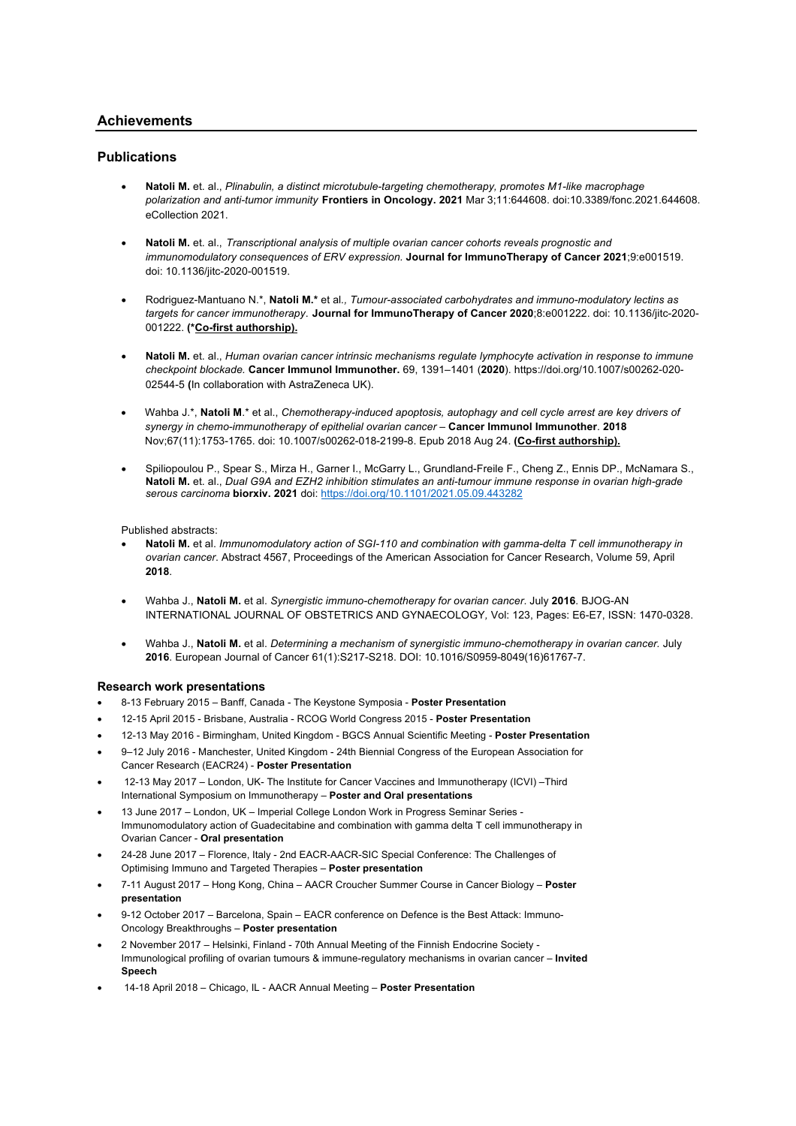# **Achievements**

# **Publications**

- **Natoli M.** et. al., *Plinabulin, a distinct microtubule-targeting chemotherapy, promotes M1-like macrophage polarization and anti-tumor immunity* **Frontiers in Oncology. 2021** Mar 3;11:644608. doi:10.3389/fonc.2021.644608. eCollection 2021.
- **Natoli M.** et. al., *Transcriptional analysis of multiple ovarian cancer cohorts reveals prognostic and immunomodulatory consequences of ERV expression.* **Journal for ImmunoTherapy of Cancer 2021**;9:e001519. doi: 10.1136/jitc-2020-001519.
- Rodriguez-Mantuano N.\*, **Natoli M.\*** et al*., Tumour-associated carbohydrates and immuno-modulatory lectins as targets for cancer immunotherapy*. **Journal for ImmunoTherapy of Cancer 2020**;8:e001222. doi: 10.1136/jitc-2020- 001222. **(\*Co-first authorship).**
- **Natoli M.** et. al., *Human ovarian cancer intrinsic mechanisms regulate lymphocyte activation in response to immune checkpoint blockade.* **Cancer Immunol Immunother.** 69, 1391–1401 (**2020**). https://doi.org/10.1007/s00262-020- 02544-5 **(**In collaboration with AstraZeneca UK).
- Wahba J.\*, **Natoli M**.\* et al., *Chemotherapy-induced apoptosis, autophagy and cell cycle arrest are key drivers of synergy in chemo-immunotherapy of epithelial ovarian cancer –* **Cancer Immunol Immunother**. **2018** Nov;67(11):1753-1765. doi: 10.1007/s00262-018-2199-8. Epub 2018 Aug 24. **(Co-first authorship).**
- Spiliopoulou P., Spear S., Mirza H., Garner I., McGarry L., Grundland-Freile F., Cheng Z., Ennis DP., McNamara S., **Natoli M.** et. al., *Dual G9A and EZH2 inhibition stimulates an anti-tumour immune response in ovarian high-grade serous carcinoma* **biorxiv. 2021** doi: https://doi.org/10.1101/2021.05.09.443282

Published abstracts:

- **Natoli M.** et al. *Immunomodulatory action of SGI-110 and combination with gamma-delta T cell immunotherapy in ovarian cancer*. Abstract 4567, Proceedings of the American Association for Cancer Research, Volume 59, April **2018**.
- Wahba J., **Natoli M.** et al. *Synergistic immuno-chemotherapy for ovarian cancer*. July **2016**. BJOG-AN INTERNATIONAL JOURNAL OF OBSTETRICS AND GYNAECOLOGY*,* Vol: 123, Pages: E6-E7, ISSN: 1470-0328.
- Wahba J., **Natoli M.** et al. *Determining a mechanism of synergistic immuno-chemotherapy in ovarian cancer.* July **2016**. European Journal of Cancer 61(1):S217-S218. DOI: 10.1016/S0959-8049(16)61767-7.

## **Research work presentations**

- 8-13 February 2015 Banff, Canada The Keystone Symposia **Poster Presentation**
- 12-15 April 2015 Brisbane, Australia RCOG World Congress 2015 **Poster Presentation**
- 12-13 May 2016 Birmingham, United Kingdom BGCS Annual Scientific Meeting **Poster Presentation**
- 9–12 July 2016 Manchester, United Kingdom 24th Biennial Congress of the European Association for Cancer Research (EACR24) - **Poster Presentation**
- 12-13 May 2017 London, UK- The Institute for Cancer Vaccines and Immunotherapy (ICVI) –Third International Symposium on Immunotherapy – **Poster and Oral presentations**
- 13 June 2017 London, UK Imperial College London Work in Progress Seminar Series Immunomodulatory action of Guadecitabine and combination with gamma delta T cell immunotherapy in Ovarian Cancer - **Oral presentation**
- 24-28 June 2017 Florence, Italy 2nd EACR-AACR-SIC Special Conference: The Challenges of Optimising Immuno and Targeted Therapies – **Poster presentation**
- 7-11 August 2017 Hong Kong, China AACR Croucher Summer Course in Cancer Biology **Poster presentation**
- 9-12 October 2017 Barcelona, Spain EACR conference on Defence is the Best Attack: Immuno-Oncology Breakthroughs – **Poster presentation**
- 2 November 2017 Helsinki, Finland 70th Annual Meeting of the Finnish Endocrine Society Immunological profiling of ovarian tumours & immune-regulatory mechanisms in ovarian cancer – **Invited Speech**
- 14-18 April 2018 Chicago, IL AACR Annual Meeting **Poster Presentation**